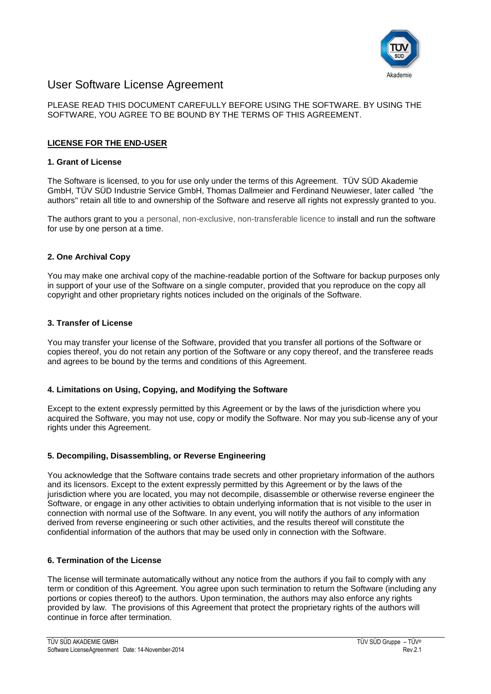

# User Software License Agreement

# PLEASE READ THIS DOCUMENT CAREFULLY BEFORE USING THE SOFTWARE. BY USING THE SOFTWARE, YOU AGREE TO BE BOUND BY THE TERMS OF THIS AGREEMENT.

# **LICENSE FOR THE END-USER**

## **1. Grant of License**

The Software is licensed, to you for use only under the terms of this Agreement. TÜV SÜD Akademie GmbH, TÜV SÜD Industrie Service GmbH, Thomas Dallmeier and Ferdinand Neuwieser, later called "the authors" retain all title to and ownership of the Software and reserve all rights not expressly granted to you.

The authors grant to you a personal, non-exclusive, non-transferable licence to install and run the software for use by one person at a time.

#### **2. One Archival Copy**

You may make one archival copy of the machine-readable portion of the Software for backup purposes only in support of your use of the Software on a single computer, provided that you reproduce on the copy all copyright and other proprietary rights notices included on the originals of the Software.

#### **3. Transfer of License**

You may transfer your license of the Software, provided that you transfer all portions of the Software or copies thereof, you do not retain any portion of the Software or any copy thereof, and the transferee reads and agrees to be bound by the terms and conditions of this Agreement.

# **4. Limitations on Using, Copying, and Modifying the Software**

Except to the extent expressly permitted by this Agreement or by the laws of the jurisdiction where you acquired the Software, you may not use, copy or modify the Software. Nor may you sub-license any of your rights under this Agreement.

# **5. Decompiling, Disassembling, or Reverse Engineering**

You acknowledge that the Software contains trade secrets and other proprietary information of the authors and its licensors. Except to the extent expressly permitted by this Agreement or by the laws of the jurisdiction where you are located, you may not decompile, disassemble or otherwise reverse engineer the Software, or engage in any other activities to obtain underlying information that is not visible to the user in connection with normal use of the Software. In any event, you will notify the authors of any information derived from reverse engineering or such other activities, and the results thereof will constitute the confidential information of the authors that may be used only in connection with the Software.

#### **6. Termination of the License**

The license will terminate automatically without any notice from the authors if you fail to comply with any term or condition of this Agreement. You agree upon such termination to return the Software (including any portions or copies thereof) to the authors. Upon termination, the authors may also enforce any rights provided by law. The provisions of this Agreement that protect the proprietary rights of the authors will continue in force after termination.